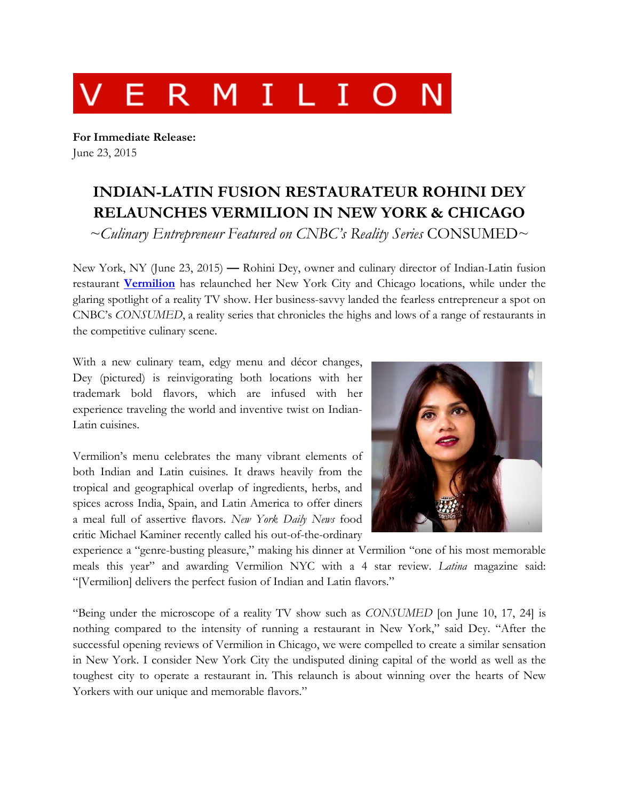

**For Immediate Release:** June 23, 2015

## **INDIAN-LATIN FUSION RESTAURATEUR ROHINI DEY RELAUNCHES VERMILION IN NEW YORK & CHICAGO**

*~Culinary Entrepreneur Featured on CNBC's Reality Series* CONSUMED~

New York, NY (June 23, 2015) **—** Rohini Dey, owner and culinary director of Indian-Latin fusion restaurant **[Vermilion](http://www.thevermilionrestaurant.com/)** has relaunched her New York City and Chicago locations, while under the glaring spotlight of a reality TV show. Her business-savvy landed the fearless entrepreneur a spot on CNBC's *CONSUMED*, a reality series that chronicles the highs and lows of a range of restaurants in the competitive culinary scene.

With a new culinary team, edgy menu and décor changes, Dey (pictured) is reinvigorating both locations with her trademark bold flavors, which are infused with her experience traveling the world and inventive twist on Indian-Latin cuisines.

Vermilion's menu celebrates the many vibrant elements of both Indian and Latin cuisines. It draws heavily from the tropical and geographical overlap of ingredients, herbs, and spices across India, Spain, and Latin America to offer diners a meal full of assertive flavors. *New York Daily News* food critic Michael Kaminer recently called his out-of-the-ordinary



experience a "genre-busting pleasure," making his dinner at Vermilion "one of his most memorable meals this year" and awarding Vermilion NYC with a 4 star review. *Latina* magazine said: "[Vermilion] delivers the perfect fusion of Indian and Latin flavors."

"Being under the microscope of a reality TV show such as *CONSUMED* [on June 10, 17, 24] is nothing compared to the intensity of running a restaurant in New York," said Dey. "After the successful opening reviews of Vermilion in Chicago, we were compelled to create a similar sensation in New York. I consider New York City the undisputed dining capital of the world as well as the toughest city to operate a restaurant in. This relaunch is about winning over the hearts of New Yorkers with our unique and memorable flavors."